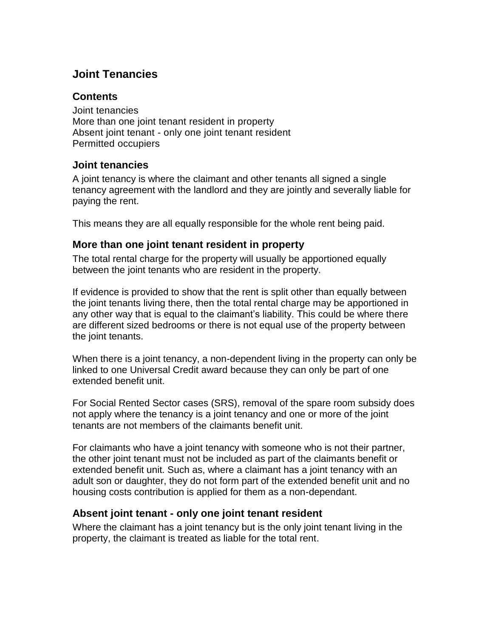# **Joint Tenancies**

### **Contents**

Joint [tenancies](https://intranet.dwp.gov.uk/policy/joint-tenancies#joint-tenancies) More than one joint tenant resident in property Absent joint tenant - only one joint tenant resident [Permitted](https://intranet.dwp.gov.uk/policy/joint-tenancies#Permitted-occupiers) occupiers

### **Joint tenancies**

A joint tenancy is where the claimant and other tenants all signed a single tenancy agreement with the landlord and they are jointly and severally liable for paying the rent.

This means they are all equally responsible for the whole rent being paid.

## **More than one joint tenant resident in property**

The total rental charge for the property will usually be apportioned equally between the joint tenants who are resident in the property.

If evidence is provided to show that the rent is split other than equally between the joint tenants living there, then the total rental charge may be apportioned in any other way that is equal to the claimant's liability. This could be where there are different sized bedrooms or there is not equal use of the property between the joint tenants.

When there is a joint tenancy, a non-dependent living in the property can only be linked to one Universal Credit award because they can only be part of one extended benefit unit.

For Social Rented Sector cases (SRS), removal of the spare room subsidy does not apply where the tenancy is a joint tenancy and one or more of the joint tenants are not members of the claimants benefit unit.

For claimants who have a joint tenancy with someone who is not their partner, the other joint tenant must not be included as part of the claimants benefit or extended benefit unit. Such as, where a claimant has a joint tenancy with an adult son or daughter, they do not form part of the extended benefit unit and no housing costs contribution is applied for them as a non-dependant.

## **Absent joint tenant - only one joint tenant resident**

Where the claimant has a joint tenancy but is the only joint tenant living in the property, the claimant is treated as liable for the total rent.